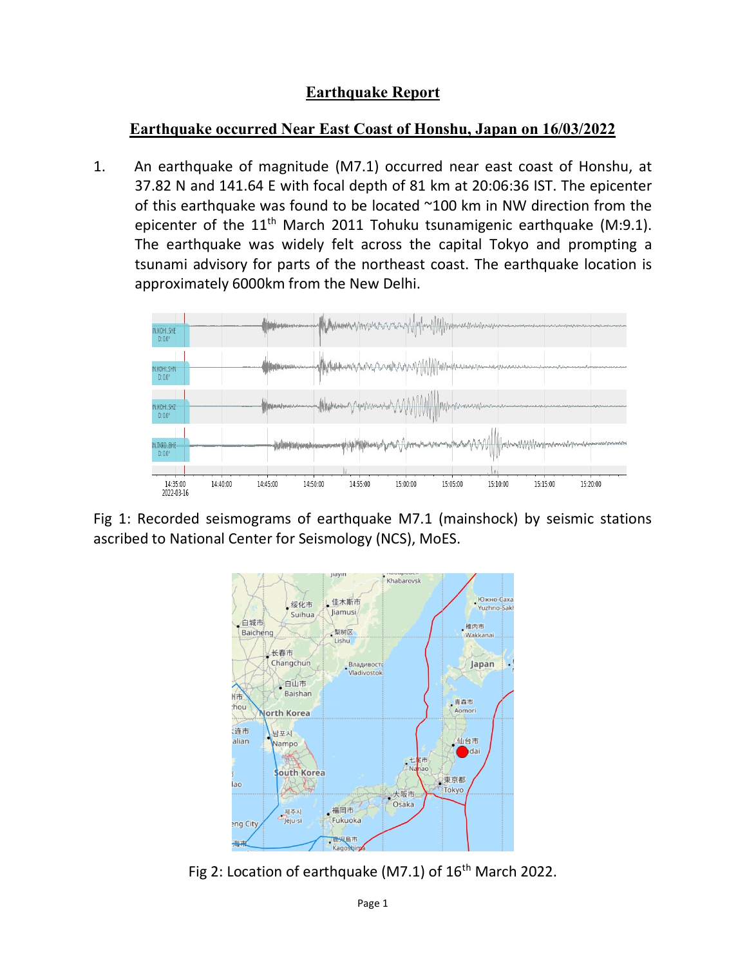## Earthquake Report

## Earthquake occurred Near East Coast of Honshu, Japan on 16/03/2022

1. An earthquake of magnitude (M7.1) occurred near east coast of Honshu, at 37.82 N and 141.64 E with focal depth of 81 km at 20:06:36 IST. The epicenter of this earthquake was found to be located ~100 km in NW direction from the epicenter of the  $11<sup>th</sup>$  March 2011 Tohuku tsunamigenic earthquake (M:9.1). The earthquake was widely felt across the capital Tokyo and prompting a tsunami advisory for parts of the northeast coast. The earthquake location is approximately 6000km from the New Delhi.



Fig 1: Recorded seismograms of earthquake M7.1 (mainshock) by seismic stations ascribed to National Center for Seismology (NCS), MoES.



Fig 2: Location of earthquake (M7.1) of  $16<sup>th</sup>$  March 2022.